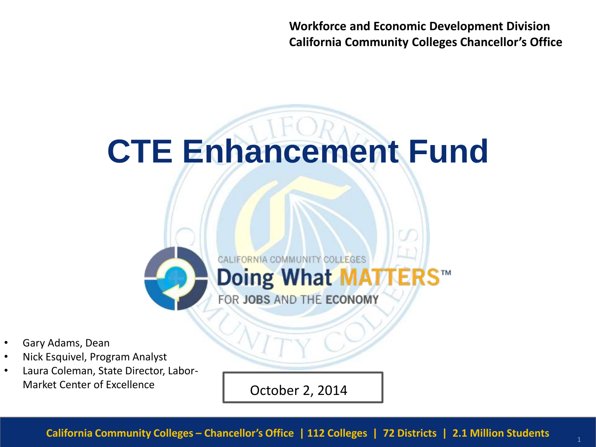**Workforce and Economic Development Division California Community Colleges Chancellor's Office**

# **CTE Enhancement Fund**



FOR JOBS AND THE ECONOMY

- Gary Adams, Dean
- Nick Esquivel, Program Analyst
- Laura Coleman, State Director, Labor-Market Center of Excellence

October 2, 2014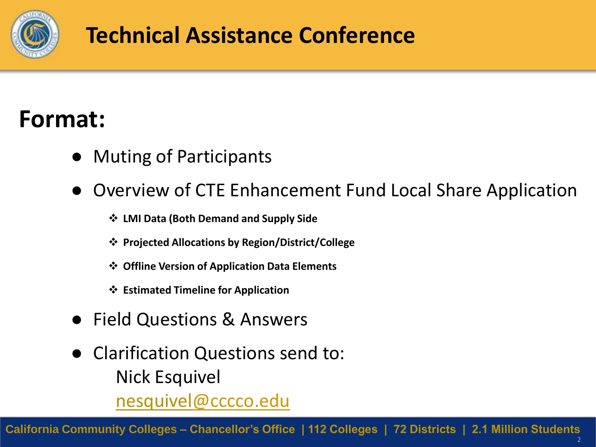

#### **Technical Assistance Conference**

## **Format:**

- Muting of Participants
- **Overview of CTE Enhancement Fund Local Share Application** 
	- **LMI Data (Both Demand and Supply Side**
	- **Projected Allocations by Region/District/College**
	- **Offline Version of Application Data Elements**
	- **Estimated Timeline for Application**
- Field Questions & Answers
- Clarification Questions send to: Nick Esquivel nesquivel[@cccco.edu](mailto:jromero@cccco.edu)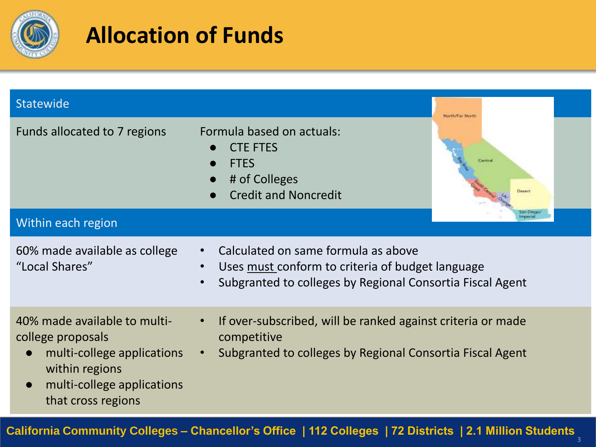

## **Allocation of Funds**

| Statewide                                                                                                                                                                       |                                                                                                                                                                                             | Nerth/Far Nert |
|---------------------------------------------------------------------------------------------------------------------------------------------------------------------------------|---------------------------------------------------------------------------------------------------------------------------------------------------------------------------------------------|----------------|
| Funds allocated to 7 regions                                                                                                                                                    | Formula based on actuals:<br><b>CTE FTES</b><br><b>FTES</b><br># of Colleges<br><b>Credit and Noncredit</b>                                                                                 | Desert         |
| Within each region                                                                                                                                                              |                                                                                                                                                                                             |                |
| 60% made available as college<br>"Local Shares"                                                                                                                                 | Calculated on same formula as above<br>$\bullet$<br>Uses must conform to criteria of budget language<br>$\bullet$<br>Subgranted to colleges by Regional Consortia Fiscal Agent<br>$\bullet$ |                |
| 40% made available to multi-<br>college proposals<br>multi-college applications<br>$\bullet$<br>within regions<br>multi-college applications<br>$\bullet$<br>that cross regions | If over-subscribed, will be ranked against criteria or made<br>$\bullet$<br>competitive<br>Subgranted to colleges by Regional Consortia Fiscal Agent<br>$\bullet$                           |                |

#### **California Community Colleges – Chancellor's Office | 112 Colleges | 72 Districts | 2.1 Million Students**

3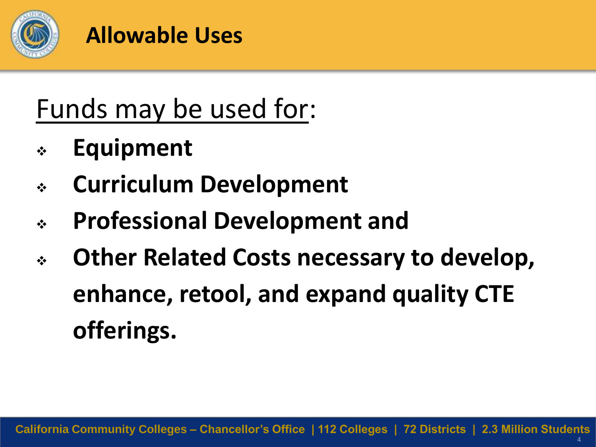

#### **Allowable Uses**

# Funds may be used for:

- **Equipment**
- **Curriculum Development**
- **Professional Development and**
- **Other Related Costs necessary to develop, enhance, retool, and expand quality CTE offerings.**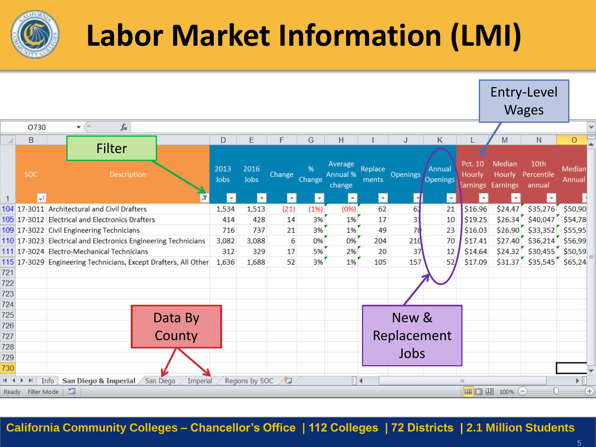

# **Labor Market Information (LMI)**

|                             |                          |                                                                 |                         |                          |                         |                         |                               |                         |                 |                    |                   |                                       | Entry-Level<br><b>Wages</b>  |                                               |             |
|-----------------------------|--------------------------|-----------------------------------------------------------------|-------------------------|--------------------------|-------------------------|-------------------------|-------------------------------|-------------------------|-----------------|--------------------|-------------------|---------------------------------------|------------------------------|-----------------------------------------------|-------------|
|                             | O730                     | $f_x$<br>$\mathbf{v}$ (m)                                       |                         |                          |                         |                         |                               |                         |                 |                    |                   |                                       |                              |                                               |             |
|                             | $\overline{B}$           |                                                                 | D                       | E                        | F                       | G                       | H                             |                         |                 | Κ                  |                   | М                                     | N                            | $\circ$                                       |             |
|                             | <b>SOC</b>               | <b>Filter</b><br>Description                                    | 2013<br>Jobs            | 2016<br>Jobs             | Change                  | %<br>Change             | Average<br>Annual %<br>change | Replace<br>ments        | <b>Openings</b> | Annual<br>Openings | Pct. 10<br>Hourly | Median<br>Hourly<br>Earnings Earnings | 10th<br>Percentile<br>annual | Median<br>Annual                              |             |
|                             | $\overline{\mathcal{F}}$ |                                                                 | $\overline{\mathbf{v}}$ | $\vert \mathbf{v} \vert$ | $\overline{\mathbf{v}}$ | $\overline{\mathbf{v}}$ | $\mathbf{v}$                  | $\overline{\mathbf{v}}$ |                 | $\mathbf{v}$       | $\mathbf{v}$      |                                       | $\overline{\mathbf{v}}$      |                                               |             |
|                             |                          | 104 17-3011 Architectural and Civil Drafters                    | 1,534                   | 1,513                    | (21)                    | (1%)                    | (0%)                          | 62                      | 61              | 21                 | \$16.96           | \$24.47                               | \$35,276                     | \$50,90                                       |             |
|                             |                          | 105 17-3012 Electrical and Electronics Drafters                 | 414                     | 428                      | 14                      | 3%                      | 1%                            | 17                      | 3:              | 10                 | \$19.25           |                                       | $$26.34$ $$40,047$ $$54,78$  |                                               |             |
|                             |                          | 109 17-3022 Civil Engineering Technicians                       | 716                     | 737                      | 21                      | 3%                      | 1%                            | 49                      | 70              | 23                 | \$16.03           |                                       | $$26.90$ $$33,352$ $$55,95$  |                                               |             |
|                             |                          | 110 17-3023 Electrical and Electronics Engineering Technicians  | 3,082                   | 3,088                    | 6                       | 0%                      | 0%                            | 204                     | 210             | 70                 | \$17.41           |                                       | $$27.40$ $$36,214$ $$56,99$  |                                               |             |
|                             |                          | 111 17-3024 Electro-Mechanical Technicians                      | 312                     | 329                      | 17                      | 5%                      | 2%                            | 20                      | 37              | 12                 | \$14.64           |                                       | $$24.32$ $$30,455$ $$50,59$  |                                               |             |
|                             |                          | 115 17-3029 Engineering Technicians, Except Drafters, All Other | 1,636                   | 1,688                    | 52                      | 3%                      | 1%                            | 105                     | 157             | 52                 | \$17.09           |                                       | $$31.37$ $$35,545$ $$65,24$  |                                               |             |
| 721                         |                          |                                                                 |                         |                          |                         |                         |                               |                         |                 |                    |                   |                                       |                              |                                               |             |
| 722                         |                          |                                                                 |                         |                          |                         |                         |                               |                         |                 |                    |                   |                                       |                              |                                               |             |
| 723                         |                          |                                                                 |                         |                          |                         |                         |                               |                         |                 |                    |                   |                                       |                              |                                               |             |
| 724                         |                          |                                                                 |                         |                          |                         |                         |                               |                         |                 |                    |                   |                                       |                              |                                               |             |
| 725                         |                          | Data By                                                         |                         |                          |                         |                         |                               |                         | New &           |                    |                   |                                       |                              |                                               |             |
| 726                         |                          |                                                                 |                         |                          |                         |                         |                               |                         |                 |                    |                   |                                       |                              |                                               |             |
| 727                         |                          | County                                                          |                         |                          |                         |                         |                               |                         | Replacement     |                    |                   |                                       |                              |                                               |             |
| 728                         |                          |                                                                 |                         |                          |                         |                         |                               |                         |                 |                    |                   |                                       |                              |                                               |             |
| 729                         |                          |                                                                 |                         |                          |                         |                         |                               |                         | Jobs            |                    |                   |                                       |                              |                                               |             |
| 730                         |                          |                                                                 |                         |                          |                         |                         |                               |                         |                 |                    |                   |                                       |                              |                                               |             |
| $M \rightarrow \rightarrow$ | $\blacktriangleright$    | San Diego & Imperial San Diego<br>Info<br>Imperial              |                         | Regions by SOC           |                         |                         | ∏⊲                            |                         |                 |                    | III               |                                       |                              | $\blacktriangleright$ $\overline{\mathbb{F}}$ |             |
| Ready                       | Filter Mode              | 鱼                                                               |                         |                          |                         |                         |                               |                         |                 |                    |                   | 100% ○                                |                              |                                               | $\bigoplus$ |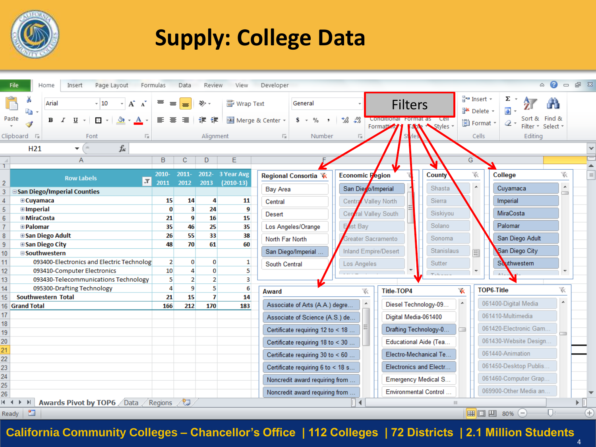

## **Supply: College Data**

|                 | File                        | Home       | Insert                            | Page Layout                 |                                                                                                             |                  | Formulas                | Data           | Review           | View             | Developer        |                                   |                                 |         |                                         |                        |                    |                                       |                              | $\infty$          | $\Box$                       | 6 23          |
|-----------------|-----------------------------|------------|-----------------------------------|-----------------------------|-------------------------------------------------------------------------------------------------------------|------------------|-------------------------|----------------|------------------|------------------|------------------|-----------------------------------|---------------------------------|---------|-----------------------------------------|------------------------|--------------------|---------------------------------------|------------------------------|-------------------|------------------------------|---------------|
| Paste           | þ                           | Arial<br>в | U                                 | $-10$<br>$\frac{1}{2}$ .    | A                                                                                                           | $\mathbf A$<br>А |                         | ≡              | ≫<br>ŧΞ<br>ŧΞ    | http Text        | Merge & Center ~ | General<br>$s -$<br>%<br>$\cdot$  | $^{0.7}_{0.0}$<br>$^{+00}_{-0}$ |         | <b>Filters</b><br>Conditional Format as | <b>Cell</b>            |                    | and Insert →<br><sup>→</sup> Delete ▼ | Σ<br>$\overline{\textbf{v}}$ | Sort & Find &     |                              |               |
|                 |                             |            |                                   |                             |                                                                                                             |                  |                         |                |                  |                  |                  |                                   |                                 | Formatt |                                         | Styles                 |                    | Format *                              | $\mathscr{Q}$ .              | Filter * Select * |                              |               |
|                 | Clipboard 『』                |            |                                   | Font                        |                                                                                                             | 匠                |                         |                | Alignment        |                  | 匠                | Number                            | Б.                              |         |                                         |                        |                    | Cells                                 | Editing                      |                   |                              |               |
|                 | H <sub>21</sub>             |            | $\sim$<br>$\overline{\mathbf{v}}$ |                             | $f_{x}% ^{r}=\int_{0}^{T}f_{x}\left( t\right) \cdot T_{x}^{r}(\tau )\left( t\right) \cdot T_{x}^{r}(\tau )$ |                  |                         |                |                  |                  |                  |                                   |                                 |         |                                         |                        |                    |                                       |                              |                   |                              | v             |
|                 |                             |            | $\overline{A}$                    |                             |                                                                                                             |                  | B                       | $\mathbf C$    | D                | E                |                  |                                   |                                 |         |                                         |                        | G                  |                                       |                              |                   |                              |               |
|                 |                             |            |                                   |                             |                                                                                                             |                  | 2010-                   | $2011 -$       |                  | 2012- 3 Year Avg |                  |                                   |                                 |         |                                         | <b>County</b>          |                    | 诼                                     | College                      |                   | 诼                            | ▲<br>$\equiv$ |
|                 |                             |            | <b>Row Labels</b>                 |                             |                                                                                                             | l JT             | 2011                    | 2012           | 2013             | $(2010-13)$      |                  | Regional Consortia <b>下</b>       | Economic Pegion                 |         |                                         |                        |                    |                                       |                              |                   |                              |               |
|                 | San Diego/Imperial Counties |            |                                   |                             |                                                                                                             |                  |                         |                |                  |                  | <b>Bay Area</b>  |                                   | San Die o/Imperial              |         |                                         | Shasta                 |                    |                                       | Cuyamaca                     |                   | $\blacktriangle$<br>$\equiv$ |               |
|                 | <b>E</b> Cuyamaca           |            |                                   |                             |                                                                                                             |                  | 15                      | 14             | 4                | 11               | Central          |                                   | Central Valley North            |         |                                         | Sierra                 |                    |                                       | Imperial                     |                   |                              |               |
|                 | <b><i>Elmperial</i></b>     |            |                                   |                             |                                                                                                             |                  | $\bf{0}$                | 3              | 24               | 9                | Desert           |                                   | Cerral Valley South             |         |                                         | Siskiyou               |                    |                                       | MiraCosta                    |                   |                              |               |
|                 | <b>⊞</b> MiraCosta          |            |                                   |                             |                                                                                                             |                  | 21                      | 9              | 16               | 15               |                  |                                   |                                 |         |                                         |                        |                    |                                       |                              |                   |                              |               |
|                 | ⊞ Palomar                   |            |                                   |                             |                                                                                                             |                  | 35                      | 46             | 25               | 35               |                  | Los Angeles/Orange                | <b>ist Bay</b>                  |         |                                         | Solano                 |                    |                                       | Palomar                      |                   |                              |               |
|                 | <b>⊞San Diego Adult</b>     |            |                                   |                             |                                                                                                             |                  | 26                      | 55             | 33               | 38               | North Far North  |                                   | Greater Sacramento              |         |                                         | Sonoma                 |                    |                                       | San Diego Adult              |                   |                              |               |
| q               | <b>⊞San Diego City</b>      |            |                                   |                             |                                                                                                             |                  | 48                      | 70             | 61               | 60               |                  | San Diego/Imperial                | Inland Empire/Desert            |         |                                         | <b>Stanislaus</b>      |                    |                                       | San Diego City               |                   |                              |               |
| 10              | <b>Southwestern</b>         |            |                                   |                             |                                                                                                             |                  |                         |                |                  |                  |                  |                                   |                                 |         |                                         |                        |                    | 国                                     |                              |                   |                              |               |
| 11              |                             |            |                                   | 093410-Computer Electronics | 093400-Electronics and Electric Technolog                                                                   |                  | $\overline{2}$<br>10    | 0              | $\mathbf 0$<br>0 | 1<br>5           | South Central    |                                   | Los Angeles                     |         |                                         | Sutter                 |                    |                                       | Southwestern                 |                   |                              |               |
| 12<br>13        |                             |            |                                   |                             | 093430-Telecommunications Technology                                                                        |                  | $\overline{\mathbf{5}}$ | $\overline{2}$ | $\overline{2}$   | 3                |                  |                                   |                                 |         |                                         | $T_{\rm eff}$          |                    | ٠                                     |                              |                   | ۳                            |               |
| 14              |                             |            |                                   | 095300-Drafting Technology  |                                                                                                             |                  | $\overline{a}$          | 9              | 5                | 6                |                  |                                   |                                 |         |                                         |                        |                    | <b>TOP6-Title</b>                     |                              |                   |                              |               |
|                 | <b>Southwestern Total</b>   |            |                                   |                             |                                                                                                             |                  | 21                      | 15             | $\overline{1}$   | 14               | Award            |                                   | 诼                               |         | <b>Title-TOP4</b>                       |                        | $\bar{\mathbf{x}}$ |                                       |                              |                   | 诼                            |               |
|                 | <b>6 Grand Total</b>        |            |                                   |                             |                                                                                                             |                  | 166                     | 212            | 170              | 183              |                  | Associate of Arts (A.A.) degre    |                                 |         |                                         | Diesel Technology-09   |                    |                                       | 061400-Digital Media         |                   | ᇫ                            |               |
|                 |                             |            |                                   |                             |                                                                                                             |                  |                         |                |                  |                  |                  | Associate of Science (A.S.) de    |                                 |         |                                         | Digital Media-061400   |                    |                                       | 061410-Multimedia            |                   |                              |               |
| 18              |                             |            |                                   |                             |                                                                                                             |                  |                         |                |                  |                  |                  |                                   |                                 |         |                                         | Drafting Technology-0  |                    |                                       | 061420-Electronic Gam        |                   |                              |               |
| 19              |                             |            |                                   |                             |                                                                                                             |                  |                         |                |                  |                  |                  | Certificate requiring 12 to < 18  |                                 |         |                                         |                        | $\sim$             |                                       |                              |                   | $\equiv$                     |               |
|                 |                             |            |                                   |                             |                                                                                                             |                  |                         |                |                  |                  |                  | Certificate requiring 18 to < 30  |                                 |         |                                         | Educational Aide (Tea  |                    |                                       | 061430-Website Design        |                   |                              |               |
| 22              |                             |            |                                   |                             |                                                                                                             |                  |                         |                |                  |                  |                  | Certificate requiring 30 to < 60  |                                 |         |                                         | Electro-Mechanical Te  |                    |                                       | 061440-Animation             |                   |                              |               |
|                 |                             |            |                                   |                             |                                                                                                             |                  |                         |                |                  |                  |                  | Certificate requiring 6 to < 18 s |                                 |         |                                         | Electronics and Electr |                    |                                       | 061450-Desktop Publis        |                   |                              |               |
| $\frac{24}{3}$  |                             |            |                                   |                             |                                                                                                             |                  |                         |                |                  |                  |                  | Noncredit award requiring from    |                                 |         |                                         | Emergency Medical S    |                    |                                       | 061460-Computer Grap         |                   |                              |               |
| 26 <sup>2</sup> |                             |            |                                   |                             |                                                                                                             |                  |                         |                |                  |                  |                  | Noncredit award requiring from    |                                 |         |                                         | Environmental Control  |                    |                                       | 069900-Other Media an.       |                   |                              |               |
|                 |                             |            |                                   |                             | <b>Awards Pivot by TOP6</b> Data Regions                                                                    |                  |                         | Æ              |                  |                  |                  |                                   | ⊪∢                              |         |                                         |                        |                    |                                       |                              |                   |                              | ъH            |
|                 | $\mathbf{r}$<br>Ready       |            |                                   |                             |                                                                                                             |                  |                         |                |                  |                  |                  |                                   |                                 |         |                                         |                        |                    | 田 回 凹                                 | $\Theta$<br>80%              |                   |                              | $^{(+)}$      |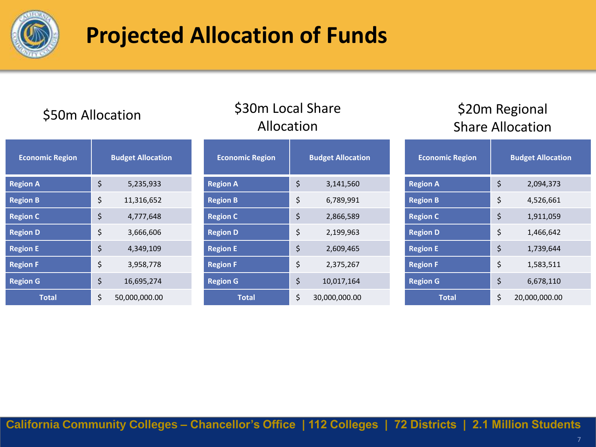

## **Projected Allocation of Funds**

#### \$50m Allocation \$30m Local Share Allocation

#### \$20m Regional Share Allocation

| <b>Economic Region</b> | <b>Budget Allocation</b> | <b>Economic Region</b> | <b>Budget Allocation</b>   | <b>Economic Region</b> | <b>Budget Allocation</b> |
|------------------------|--------------------------|------------------------|----------------------------|------------------------|--------------------------|
| <b>Region A</b>        | \$<br>5,235,933          | <b>Region A</b>        | \$<br>3,141,560            | <b>Region A</b>        | \$<br>2,094,373          |
| <b>Region B</b>        | \$<br>11,316,652         | <b>Region B</b>        | \$<br>6,789,991            | <b>Region B</b>        | \$<br>4,526,661          |
| <b>Region C</b>        | \$<br>4,777,648          | <b>Region C</b>        | $\ddot{\phi}$<br>2,866,589 | <b>Region C</b>        | \$<br>1,911,059          |
| <b>Region D</b>        | \$<br>3,666,606          | <b>Region D</b>        | \$<br>2,199,963            | <b>Region D</b>        | \$<br>1,466,642          |
| <b>Region E</b>        | \$<br>4,349,109          | <b>Region E</b>        | \$<br>2,609,465            | <b>Region E</b>        | \$<br>1,739,644          |
| <b>Region F</b>        | \$<br>3,958,778          | <b>Region F</b>        | \$<br>2,375,267            | <b>Region F</b>        | \$<br>1,583,511          |
| <b>Region G</b>        | \$<br>16,695,274         | <b>Region G</b>        | \$<br>10,017,164           | <b>Region G</b>        | \$<br>6,678,110          |
| <b>Total</b>           | \$<br>50,000,000.00      | <b>Total</b>           | \$<br>30,000,000.00        | <b>Total</b>           | \$<br>20,000,000.00      |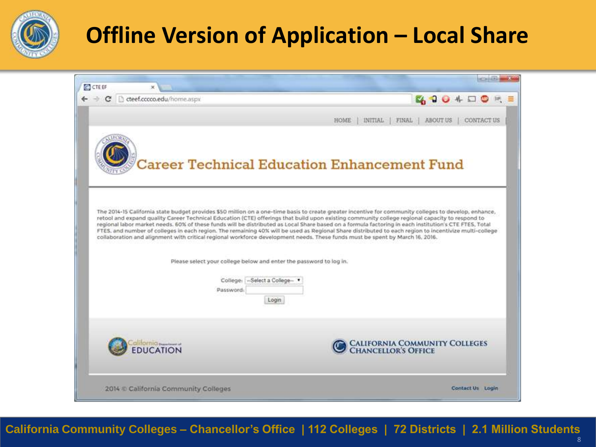

## **Offline Version of Application – Local Share**

| C C teef.cccco.edu/home.aspx |                                                                    | <b>EA 204 DOM</b>                                                                                                                                                                                                                                                                                                                                                                                                                                                                                                                                                                                 |
|------------------------------|--------------------------------------------------------------------|---------------------------------------------------------------------------------------------------------------------------------------------------------------------------------------------------------------------------------------------------------------------------------------------------------------------------------------------------------------------------------------------------------------------------------------------------------------------------------------------------------------------------------------------------------------------------------------------------|
|                              |                                                                    | INITIAL<br>FINAL<br><b>ABOUT US</b><br><b>HOME</b><br>CONTACT US                                                                                                                                                                                                                                                                                                                                                                                                                                                                                                                                  |
|                              |                                                                    | Career Technical Education Enhancement Fund                                                                                                                                                                                                                                                                                                                                                                                                                                                                                                                                                       |
|                              |                                                                    | The 2014-15 California state budget provides \$50 million on a one-time basis to create greater incentive for community colleges to develop, enhance,                                                                                                                                                                                                                                                                                                                                                                                                                                             |
|                              |                                                                    | retool and expand quality Career Technical Education (CTE) offerings that build upon existing community college regional capacity to respond to<br>regional labor market needs. 60% of these funds will be distributed as Local Share based on a formula factoring in each institution's CTE FTES, Total<br>FTES, and number of colleges in each region. The remaining 40% will be used as Regional Share distributed to each region to incentivize multi-college<br>collaboration and alignment with critical regional workforce development needs. These funds must be spent by March 16, 2016. |
|                              | Please select your college below and enter the password to log in. |                                                                                                                                                                                                                                                                                                                                                                                                                                                                                                                                                                                                   |
|                              | College: -Select a College-<br>Password:<br>Login                  |                                                                                                                                                                                                                                                                                                                                                                                                                                                                                                                                                                                                   |
| <b>UCATION</b>               |                                                                    | CALIFORNIA COMMUNITY COLLEGES<br>CHANCELLOR'S OFFICE                                                                                                                                                                                                                                                                                                                                                                                                                                                                                                                                              |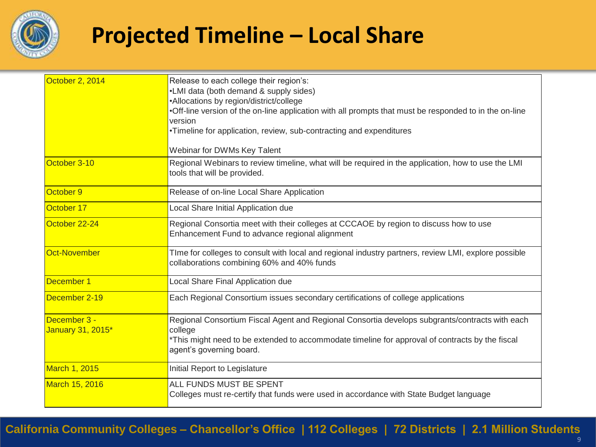

#### **Projected Timeline – Local Share**

| October 2, 2014      | Release to each college their region's:<br>•LMI data (both demand & supply sides)                                                                  |
|----------------------|----------------------------------------------------------------------------------------------------------------------------------------------------|
|                      | •Allocations by region/district/college<br>. Off-line version of the on-line application with all prompts that must be responded to in the on-line |
|                      | version                                                                                                                                            |
|                      | •Timeline for application, review, sub-contracting and expenditures                                                                                |
|                      | Webinar for DWMs Key Talent                                                                                                                        |
| October 3-10         | Regional Webinars to review timeline, what will be required in the application, how to use the LMI<br>tools that will be provided.                 |
| October 9            | Release of on-line Local Share Application                                                                                                         |
| October 17           | Local Share Initial Application due                                                                                                                |
| October 22-24        | Regional Consortia meet with their colleges at CCCAOE by region to discuss how to use<br>Enhancement Fund to advance regional alignment            |
| Oct-November         | TIme for colleges to consult with local and regional industry partners, review LMI, explore possible<br>collaborations combining 60% and 40% funds |
| December 1           | Local Share Final Application due                                                                                                                  |
| December 2-19        | Each Regional Consortium issues secondary certifications of college applications                                                                   |
| December 3 -         | Regional Consortium Fiscal Agent and Regional Consortia develops subgrants/contracts with each                                                     |
| January 31, 2015*    | college<br>*This might need to be extended to accommodate timeline for approval of contracts by the fiscal<br>agent's governing board.             |
| <b>March 1, 2015</b> | Initial Report to Legislature                                                                                                                      |
| March 15, 2016       | ALL FUNDS MUST BE SPENT<br>Colleges must re-certify that funds were used in accordance with State Budget language                                  |